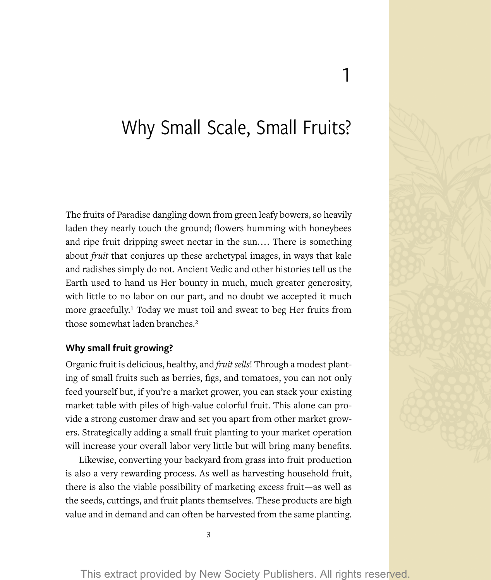# Why Small Scale, Small Fruits?

1

The fruits of Paradise dangling down from green leafy bowers, so heavily laden they nearly touch the ground; flowers humming with honeybees and ripe fruit dripping sweet nectar in the sun.... There is something about *fruit* that conjures up these archetypal images, in ways that kale and radishes simply do not. Ancient Vedic and other histories tell us the Earth used to hand us Her bounty in much, much greater generosity, with little to no labor on our part, and no doubt we accepted it much more gracefully.1 Today we must toil and sweat to beg Her fruits from those somewhat laden branches.2

## **Why small fruit growing?**

Organic fruit is delicious, healthy, and *fruit sells*! Through a modest planting of small fruits such as berries, figs, and tomatoes, you can not only feed yourself but, if you're a market grower, you can stack your existing market table with piles of high-value colorful fruit. This alone can provide a strong customer draw and set you apart from other market growers. Strategically adding a small fruit planting to your market operation will increase your overall labor very little but will bring many benefits.

Likewise, converting your backyard from grass into fruit production is also a very rewarding process. As well as harvesting household fruit, there is also the viable possibility of marketing excess fruit— as well as the seeds, cuttings, and fruit plants themselves. These products are high value and in demand and can often be harvested from the same planting.



3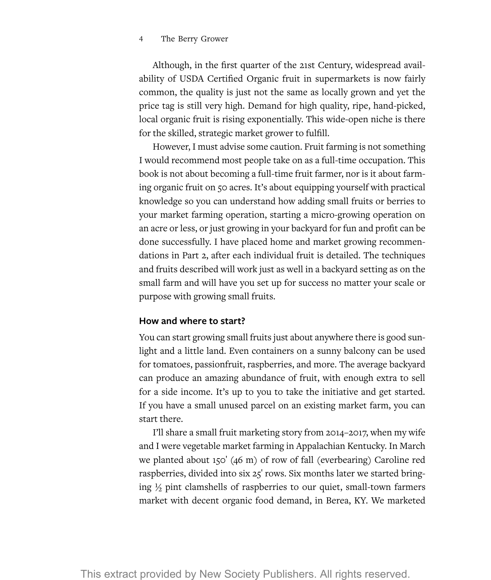Although, in the first quarter of the 21st Century, widespread availability of USDA Certified Organic fruit in supermarkets is now fairly common, the quality is just not the same as locally grown and yet the price tag is still very high. Demand for high quality, ripe, hand-picked, local organic fruit is rising exponentially. This wide-open niche is there for the skilled, strategic market grower to fulfill.

However, I must advise some caution. Fruit farming is not something I would recommend most people take on as a full-time occupation. This book is not about becoming a full-time fruit farmer, nor is it about farming organic fruit on 50 acres. It's about equipping yourself with practical knowledge so you can understand how adding small fruits or berries to your market farming operation, starting a micro-growing operation on an acre or less, or just growing in your backyard for fun and profit can be done successfully. I have placed home and market growing recommendations in Part 2, after each individual fruit is detailed. The techniques and fruits described will work just as well in a backyard setting as on the small farm and will have you set up for success no matter your scale or purpose with growing small fruits.

#### **How and where to start?**

You can start growing small fruits just about anywhere there is good sunlight and a little land. Even containers on a sunny balcony can be used for tomatoes, passionfruit, raspberries, and more. The average backyard can produce an amazing abundance of fruit, with enough extra to sell for a side income. It's up to you to take the initiative and get started. If you have a small unused parcel on an existing market farm, you can start there.

I'll share a small fruit marketing story from 2014–2017, when my wife and I were vegetable market farming in Appalachian Kentucky. In March we planted about 150' (46 m) of row of fall (everbearing) Caroline red raspberries, divided into six 25' rows. Six months later we started bringing  $\frac{1}{2}$  pint clamshells of raspberries to our quiet, small-town farmers market with decent organic food demand, in Berea, KY. We marketed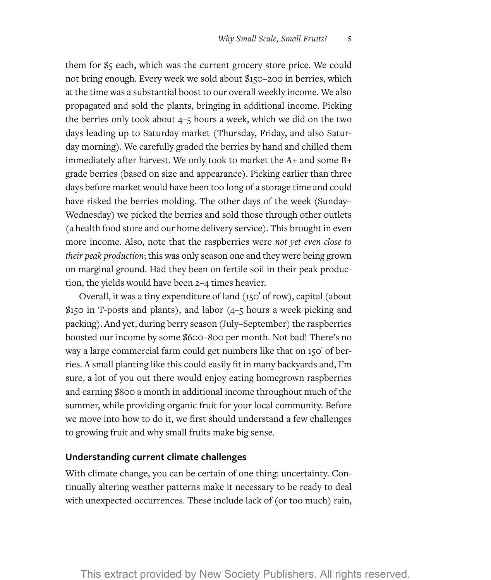them for \$5 each, which was the current grocery store price. We could not bring enough. Every week we sold about \$150–200 in berries, which at the time was a substantial boost to our overall weekly income. We also propagated and sold the plants, bringing in additional income. Picking the berries only took about 4–5 hours a week, which we did on the two days leading up to Saturday market (Thursday, Friday, and also Saturday morning). We carefully graded the berries by hand and chilled them immediately after harvest. We only took to market the A+ and some B+ grade berries (based on size and appearance). Picking earlier than three days before market would have been too long of a storage time and could have risked the berries molding. The other days of the week (Sunday– Wednesday) we picked the berries and sold those through other outlets (a health food store and our home delivery service). This brought in even more income. Also, note that the raspberries were *not yet even close to their peak production*; this was only season one and they were being grown on marginal ground. Had they been on fertile soil in their peak production, the yields would have been 2–4 times heavier.

Overall, it was a tiny expenditure of land (150' of row), capital (about  $$150$  in T-posts and plants), and labor (4–5 hours a week picking and packing). And yet, during berry season (July–September) the raspberries boosted our income by some \$600–800 per month. Not bad! There's no way a large commercial farm could get numbers like that on 150' of berries. A small planting like this could easily fit in many backyards and, I'm sure, a lot of you out there would enjoy eating homegrown raspberries and earning \$800 a month in additional income throughout much of the summer, while providing organic fruit for your local community. Before we move into how to do it, we first should understand a few challenges to growing fruit and why small fruits make big sense.

## **Understanding current climate challenges**

With climate change, you can be certain of one thing: uncertainty. Continually altering weather patterns make it necessary to be ready to deal with unexpected occurrences. These include lack of (or too much) rain,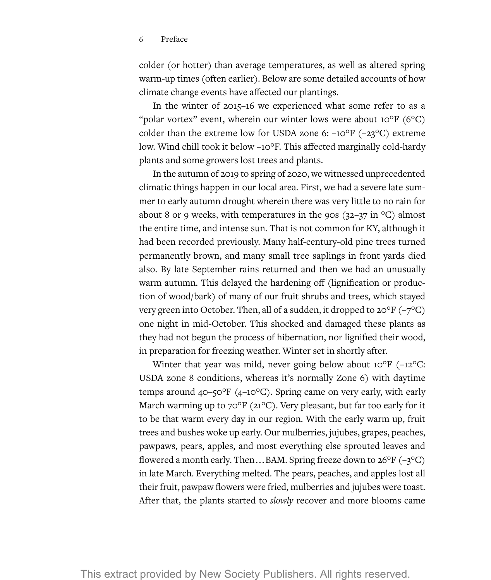colder (or hotter) than average temperatures, as well as altered spring warm-up times (often earlier). Below are some detailed accounts of how climate change events have affected our plantings.

In the winter of 2015–16 we experienced what some refer to as a "polar vortex" event, wherein our winter lows were about  $10^{\circ}F(6^{\circ}C)$ colder than the extreme low for USDA zone 6: −10°F (−23°C) extreme low. Wind chill took it below −10°F. This affected marginally cold-hardy plants and some growers lost trees and plants.

In the autumn of 2019 to spring of 2020, we witnessed unprecedented climatic things happen in our local area. First, we had a severe late summer to early autumn drought wherein there was very little to no rain for about 8 or 9 weeks, with temperatures in the 90s (32-37 in  $\mathrm{^{\circ}C}$ ) almost the entire time, and intense sun. That is not common for KY, although it had been recorded previously. Many half-century-old pine trees turned permanently brown, and many small tree saplings in front yards died also. By late September rains returned and then we had an unusually warm autumn. This delayed the hardening off (lignification or production of wood/bark) of many of our fruit shrubs and trees, which stayed very green into October. Then, all of a sudden, it dropped to 20°F (−7°C) one night in mid-October. This shocked and damaged these plants as they had not begun the process of hibernation, nor lignified their wood, in preparation for freezing weather. Winter set in shortly after.

Winter that year was mild, never going below about 10°F (−12°C: USDA zone 8 conditions, whereas it's normally Zone 6) with daytime temps around  $40-50^{\circ}F (4-10^{\circ}C)$ . Spring came on very early, with early March warming up to 70°F (21°C). Very pleasant, but far too early for it to be that warm every day in our region. With the early warm up, fruit trees and bushes woke up early. Our mulberries, jujubes, grapes, peaches, pawpaws, pears, apples, and most everything else sprouted leaves and flowered a month early. Then...BAM. Spring freeze down to 26°F (−3°C) in late March. Everything melted. The pears, peaches, and apples lost all their fruit, pawpaw flowers were fried, mulberries and jujubes were toast. After that, the plants started to *slowly* recover and more blooms came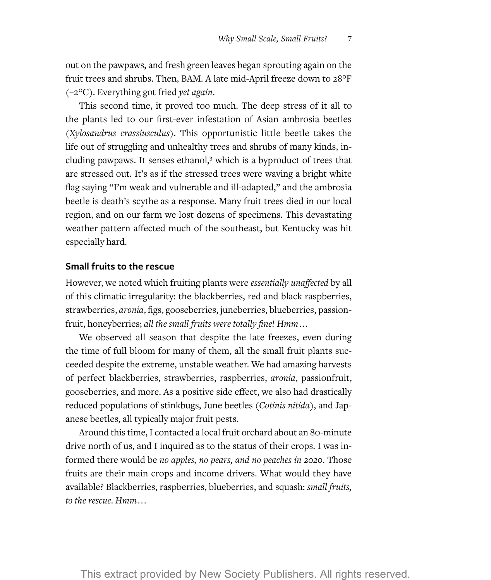out on the pawpaws, and fresh green leaves began sprouting again on the fruit trees and shrubs. Then, BAM. A late mid-April freeze down to 28°F (−2°C). Everything got fried *yet again*.

This second time, it proved too much. The deep stress of it all to the plants led to our first-ever infestation of Asian ambrosia beetles (*Xylosandrus crassiusculus*). This opportunistic little beetle takes the life out of struggling and unhealthy trees and shrubs of many kinds, including pawpaws. It senses ethanol,<sup>3</sup> which is a byproduct of trees that are stressed out. It's as if the stressed trees were waving a bright white flag saying "I'm weak and vulnerable and ill-adapted," and the ambrosia beetle is death's scythe as a response. Many fruit trees died in our local region, and on our farm we lost dozens of specimens. This devastating weather pattern affected much of the southeast, but Kentucky was hit especially hard.

#### **Small fruits to the rescue**

However, we noted which fruiting plants were *essentially unaffected* by all of this climatic irregularity: the blackberries, red and black raspberries, strawberries, *aronia*, figs, gooseberries, juneberries, blueberries, passionfruit, honeyberries; *all the small fruits were totally fine! Hmm ...*

We observed all season that despite the late freezes, even during the time of full bloom for many of them, all the small fruit plants succeeded despite the extreme, unstable weather. We had amazing harvests of perfect blackberries, strawberries, raspberries, *aronia*, passionfruit, gooseberries, and more. As a positive side effect, we also had drastically reduced populations of stinkbugs, June beetles (*Cotinis nitida*), and Japanese beetles, all typically major fruit pests.

Around this time, I contacted a local fruit orchard about an 80-minute drive north of us, and I inquired as to the status of their crops. I was informed there would be *no apples, no pears, and no peaches in 2020*. Those fruits are their main crops and income drivers. What would they have available? Blackberries, raspberries, blueberries, and squash: *small fruits, to the rescue*. *Hmm ...*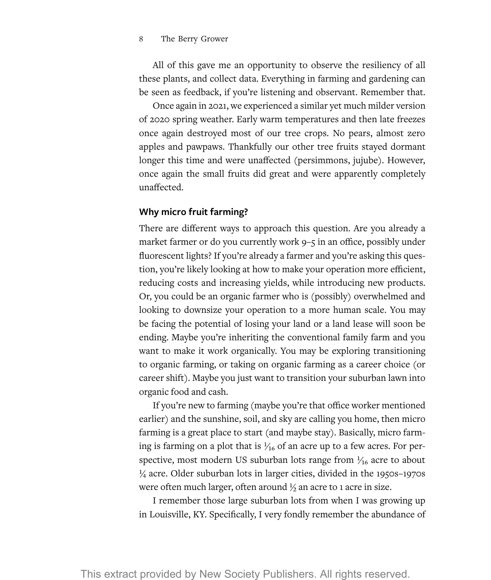All of this gave me an opportunity to observe the resiliency of all these plants, and collect data. Everything in farming and gardening can be seen as feedback, if you're listening and observant. Remember that.

Once again in 2021, we experienced a similar yet much milder version of 2020 spring weather. Early warm temperatures and then late freezes once again destroyed most of our tree crops. No pears, almost zero apples and pawpaws. Thankfully our other tree fruits stayed dormant longer this time and were unaffected (persimmons, jujube). However, once again the small fruits did great and were apparently completely unaffected.

#### **Why micro fruit farming?**

There are different ways to approach this question. Are you already a market farmer or do you currently work 9–5 in an office, possibly under fluorescent lights? If you're already a farmer and you're asking this question, you're likely looking at how to make your operation more efficient, reducing costs and increasing yields, while introducing new products. Or, you could be an organic farmer who is (possibly) overwhelmed and looking to downsize your operation to a more human scale. You may be facing the potential of losing your land or a land lease will soon be ending. Maybe you're inheriting the conventional family farm and you want to make it work organically. You may be exploring transitioning to organic farming, or taking on organic farming as a career choice (or career shift). Maybe you just want to transition your suburban lawn into organic food and cash.

If you're new to farming (maybe you're that office worker mentioned earlier) and the sunshine, soil, and sky are calling you home, then micro farming is a great place to start (and maybe stay). Basically, micro farming is farming on a plot that is  $\frac{1}{16}$  of an acre up to a few acres. For perspective, most modern US suburban lots range from  $\frac{1}{16}$  acre to about ¼ acre. Older suburban lots in larger cities, divided in the 1950s–1970s were often much larger, often around  $\frac{1}{2}$  an acre to 1 acre in size.

I remember those large suburban lots from when I was growing up in Louisville, KY. Specifically, I very fondly remember the abundance of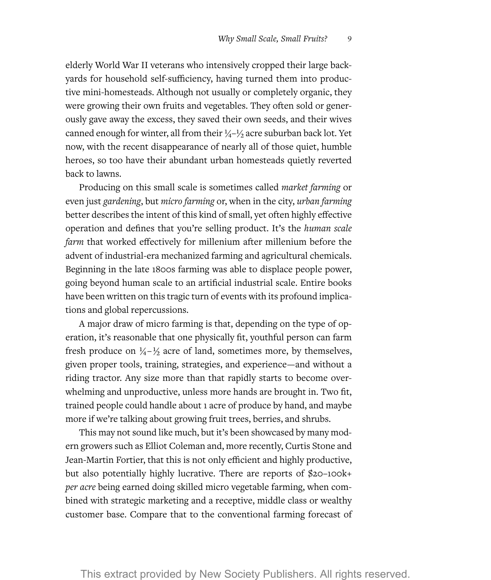elderly World War II veterans who intensively cropped their large backyards for household self-sufficiency, having turned them into productive mini-homesteads. Although not usually or completely organic, they were growing their own fruits and vegetables. They often sold or generously gave away the excess, they saved their own seeds, and their wives canned enough for winter, all from their  $\frac{1}{4} - \frac{1}{2}$  acre suburban back lot. Yet now, with the recent disappearance of nearly all of those quiet, humble heroes, so too have their abundant urban homesteads quietly reverted back to lawns.

Producing on this small scale is sometimes called *market farming* or even just *gardening*, but *micro farming* or, when in the city, *urban farming* better describes the intent of this kind of small, yet often highly effective operation and defines that you're selling product. It's the *human scale farm* that worked effectively for millenium after millenium before the advent of industrial-era mechanized farming and agricultural chemicals. Beginning in the late 1800s farming was able to displace people power, going beyond human scale to an artificial industrial scale. Entire books have been written on this tragic turn of events with its profound implications and global repercussions.

A major draw of micro farming is that, depending on the type of operation, it's reasonable that one physically fit, youthful person can farm fresh produce on  $\frac{1}{4} - \frac{1}{2}$  acre of land, sometimes more, by themselves, given proper tools, training, strategies, and experience— and without a riding tractor. Any size more than that rapidly starts to become overwhelming and unproductive, unless more hands are brought in. Two fit, trained people could handle about 1 acre of produce by hand, and maybe more if we're talking about growing fruit trees, berries, and shrubs.

This may not sound like much, but it's been showcased by many modern growers such as Elliot Coleman and, more recently, Curtis Stone and Jean-Martin Fortier, that this is not only efficient and highly productive, but also potentially highly lucrative. There are reports of \$20–100k+ *per acre* being earned doing skilled micro vegetable farming, when combined with strategic marketing and a receptive, middle class or wealthy customer base. Compare that to the conventional farming forecast of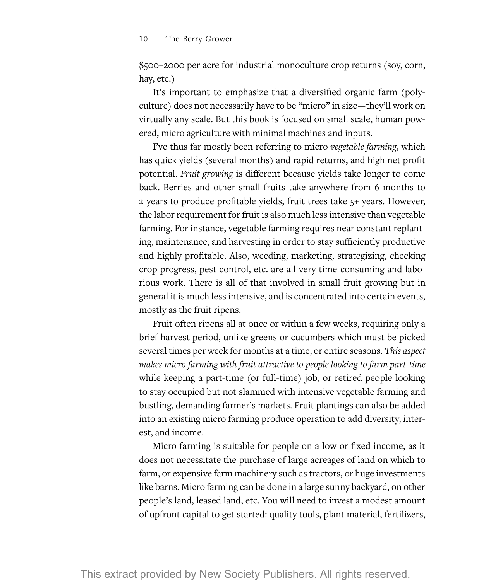\$500–2000 per acre for industrial monoculture crop returns (soy, corn, hay, etc.)

It's important to emphasize that a diversified organic farm (polyculture) does not necessarily have to be "micro" in size— they'll work on virtually any scale. But this book is focused on small scale, human powered, micro agriculture with minimal machines and inputs.

I've thus far mostly been referring to micro *vegetable farming*, which has quick yields (several months) and rapid returns, and high net profit potential. *Fruit growing* is different because yields take longer to come back. Berries and other small fruits take anywhere from 6 months to 2 years to produce profitable yields, fruit trees take 5+ years. However, the labor requirement for fruit is also much less intensive than vegetable farming. For instance, vegetable farming requires near constant replanting, maintenance, and harvesting in order to stay sufficiently productive and highly profitable. Also, weeding, marketing, strategizing, checking crop progress, pest control, etc. are all very time-consuming and laborious work. There is all of that involved in small fruit growing but in general it is much less intensive, and is concentrated into certain events, mostly as the fruit ripens.

Fruit often ripens all at once or within a few weeks, requiring only a brief harvest period, unlike greens or cucumbers which must be picked several times per week for months at a time, or entire seasons. *This aspect makes micro farming with fruit attractive to people looking to farm part-time* while keeping a part-time (or full-time) job, or retired people looking to stay occupied but not slammed with intensive vegetable farming and bustling, demanding farmer's markets. Fruit plantings can also be added into an existing micro farming produce operation to add diversity, interest, and income.

Micro farming is suitable for people on a low or fixed income, as it does not necessitate the purchase of large acreages of land on which to farm, or expensive farm machinery such as tractors, or huge investments like barns. Micro farming can be done in a large sunny backyard, on other people's land, leased land, etc. You will need to invest a modest amount of upfront capital to get started: quality tools, plant material, fertilizers,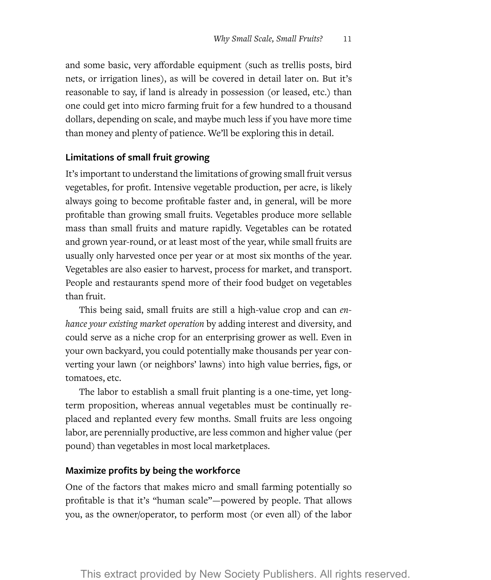and some basic, very affordable equipment (such as trellis posts, bird nets, or irrigation lines), as will be covered in detail later on. But it's reasonable to say, if land is already in possession (or leased, etc.) than one could get into micro farming fruit for a few hundred to a thousand dollars, depending on scale, and maybe much less if you have more time than money and plenty of patience. We'll be exploring this in detail.

#### **Limitations of small fruit growing**

It's important to understand the limitations of growing small fruit versus vegetables, for profit. Intensive vegetable production, per acre, is likely always going to become profitable faster and, in general, will be more profitable than growing small fruits. Vegetables produce more sellable mass than small fruits and mature rapidly. Vegetables can be rotated and grown year-round, or at least most of the year, while small fruits are usually only harvested once per year or at most six months of the year. Vegetables are also easier to harvest, process for market, and transport. People and restaurants spend more of their food budget on vegetables than fruit.

This being said, small fruits are still a high-value crop and can *enhance your existing market operation* by adding interest and diversity, and could serve as a niche crop for an enterprising grower as well. Even in your own backyard, you could potentially make thousands per year converting your lawn (or neighbors' lawns) into high value berries, figs, or tomatoes, etc.

The labor to establish a small fruit planting is a one-time, yet longterm proposition, whereas annual vegetables must be continually replaced and replanted every few months. Small fruits are less ongoing labor, are perennially productive, are less common and higher value (per pound) than vegetables in most local marketplaces.

### **Maximize profits by being the workforce**

One of the factors that makes micro and small farming potentially so profitable is that it's "human scale"— powered by people. That allows you, as the owner/operator, to perform most (or even all) of the labor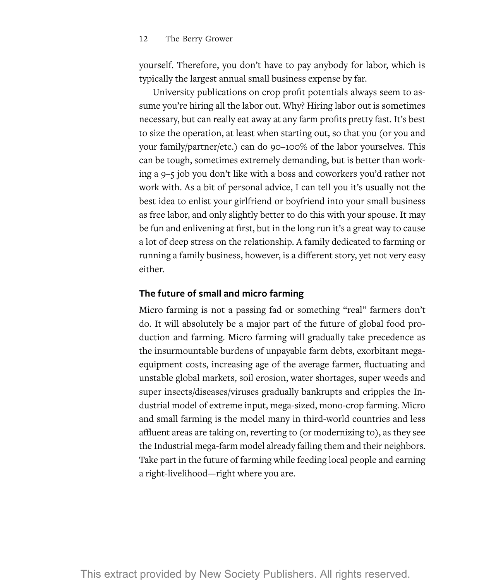#### 12 The Berry Grower

yourself. Therefore, you don't have to pay anybody for labor, which is typically the largest annual small business expense by far.

University publications on crop profit potentials always seem to assume you're hiring all the labor out. Why? Hiring labor out is sometimes necessary, but can really eat away at any farm profits pretty fast. It's best to size the operation, at least when starting out, so that you (or you and your family/partner/etc.) can do 90–100% of the labor yourselves. This can be tough, sometimes extremely demanding, but is better than working a 9–5 job you don't like with a boss and coworkers you'd rather not work with. As a bit of personal advice, I can tell you it's usually not the best idea to enlist your girlfriend or boyfriend into your small business as free labor, and only slightly better to do this with your spouse. It may be fun and enlivening at first, but in the long run it's a great way to cause a lot of deep stress on the relationship. A family dedicated to farming or running a family business, however, is a different story, yet not very easy either.

## **The future of small and micro farming**

Micro farming is not a passing fad or something "real" farmers don't do. It will absolutely be a major part of the future of global food production and farming. Micro farming will gradually take precedence as the insurmountable burdens of unpayable farm debts, exorbitant megaequipment costs, increasing age of the average farmer, fluctuating and unstable global markets, soil erosion, water shortages, super weeds and super insects/diseases/viruses gradually bankrupts and cripples the Industrial model of extreme input, mega-sized, mono-crop farming. Micro and small farming is the model many in third-world countries and less affluent areas are taking on, reverting to (or modernizing to), as they see the Industrial mega-farm model already failing them and their neighbors. Take part in the future of farming while feeding local people and earning a right-livelihood— right where you are.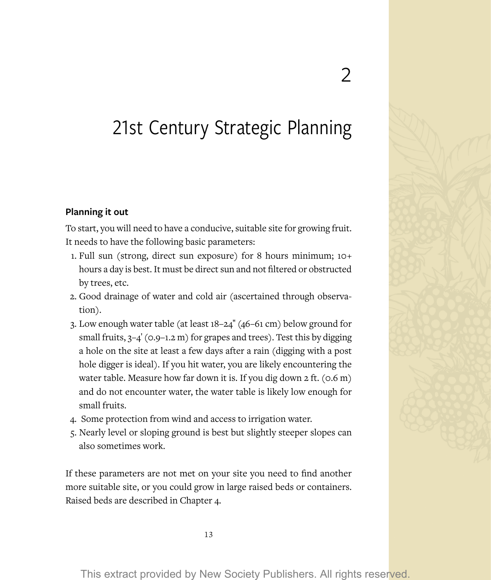# 21st Century Strategic Planning

## **Planning it out**

To start, you will need to have a conducive, suitable site for growing fruit. It needs to have the following basic parameters:

- 1. Full sun (strong, direct sun exposure) for 8 hours minimum; 10+ hours a day is best. It must be direct sun and not filtered or obstructed by trees, etc.
- 2. Good drainage of water and cold air (ascertained through observation).
- 3. Low enough water table (at least 18–24" (46–61 cm) below ground for small fruits,  $3-4'$  (0.9–1.2 m) for grapes and trees). Test this by digging a hole on the site at least a few days after a rain (digging with a post hole digger is ideal). If you hit water, you are likely encountering the water table. Measure how far down it is. If you dig down 2 ft. (0.6 m) and do not encounter water, the water table is likely low enough for small fruits.
- 4. Some protection from wind and access to irrigation water.
- 5. Nearly level or sloping ground is best but slightly steeper slopes can also sometimes work.

If these parameters are not met on your site you need to find another more suitable site, or you could grow in large raised beds or containers. Raised beds are described in Chapter 4.



13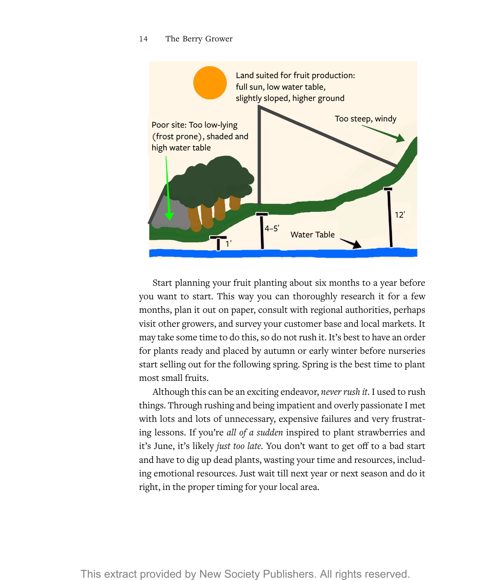

Start planning your fruit planting about six months to a year before you want to start. This way you can thoroughly research it for a few months, plan it out on paper, consult with regional authorities, perhaps visit other growers, and survey your customer base and local markets. It may take some time to do this, so do not rush it. It's best to have an order for plants ready and placed by autumn or early winter before nurseries start selling out for the following spring. Spring is the best time to plant most small fruits.

Although this can be an exciting endeavor, *never rush it*. I used to rush things. Through rushing and being impatient and overly passionate I met with lots and lots of unnecessary, expensive failures and very frustrating lessons. If you're *all of a sudden* inspired to plant strawberries and it's June, it's likely *just too late*. You don't want to get off to a bad start and have to dig up dead plants, wasting your time and resources, including emotional resources. Just wait till next year or next season and do it right, in the proper timing for your local area.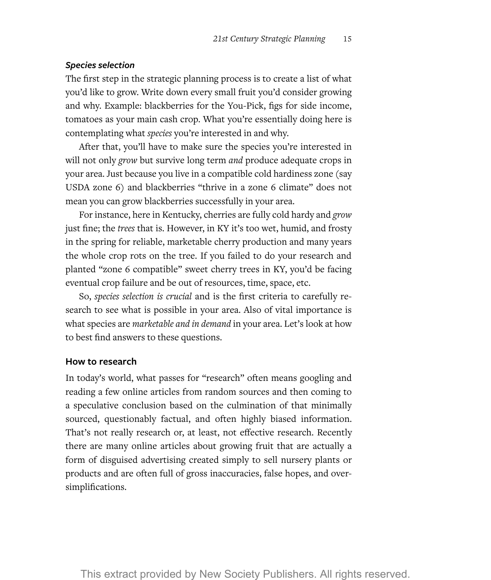#### *Species selection*

The first step in the strategic planning process is to create a list of what you'd like to grow. Write down every small fruit you'd consider growing and why. Example: blackberries for the You-Pick, figs for side income, tomatoes as your main cash crop. What you're essentially doing here is contemplating what *species* you're interested in and why.

After that, you'll have to make sure the species you're interested in will not only *grow* but survive long term *and* produce adequate crops in your area. Just because you live in a compatible cold hardiness zone (say USDA zone 6) and blackberries "thrive in a zone 6 climate" does not mean you can grow blackberries successfully in your area.

For instance, here in Kentucky, cherries are fully cold hardy and *grow* just fine; the *trees* that is. However, in KY it's too wet, humid, and frosty in the spring for reliable, marketable cherry production and many years the whole crop rots on the tree. If you failed to do your research and planted "zone 6 compatible" sweet cherry trees in KY, you'd be facing eventual crop failure and be out of resources, time, space, etc.

So, *species selection is crucial* and is the first criteria to carefully research to see what is possible in your area. Also of vital importance is what species are *marketable and in demand* in your area. Let's look at how to best find answers to these questions.

#### **How to research**

In today's world, what passes for "research" often means googling and reading a few online articles from random sources and then coming to a speculative conclusion based on the culmination of that minimally sourced, questionably factual, and often highly biased information. That's not really research or, at least, not effective research. Recently there are many online articles about growing fruit that are actually a form of disguised advertising created simply to sell nursery plants or products and are often full of gross inaccuracies, false hopes, and oversimplifications.

This extract provided by New Society Publishers. All rights reserved.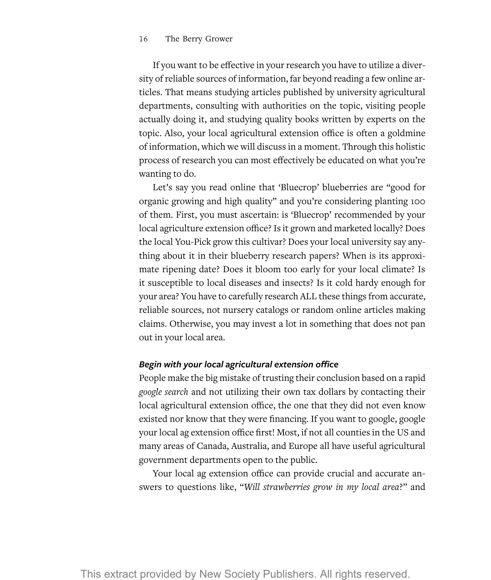If you want to be effective in your research you have to utilize a diversity of reliable sources of information, far beyond reading a few online articles. That means studying articles published by university agricultural departments, consulting with authorities on the topic, visiting people actually doing it, and studying quality books written by experts on the topic. Also, your local agricultural extension office is often a goldmine of information, which we will discuss in a moment. Through this holistic process of research you can most effectively be educated on what you're wanting to do.

Let's say you read online that 'Bluecrop' blueberries are "good for organic growing and high quality" and you're considering planting 100 of them. First, you must ascertain: is 'Bluecrop' recommended by your local agriculture extension office? Is it grown and marketed locally? Does the local You-Pick grow this cultivar? Does your local university say anything about it in their blueberry research papers? When is its approximate ripening date? Does it bloom too early for your local climate? Is it susceptible to local diseases and insects? Is it cold hardy enough for your area? You have to carefully research ALL these things from accurate, reliable sources, not nursery catalogs or random online articles making claims. Otherwise, you may invest a lot in something that does not pan out in your local area.

### *Begin with your local agricultural extension office*

People make the big mistake of trusting their conclusion based on a rapid *google search* and not utilizing their own tax dollars by contacting their local agricultural extension office, the one that they did not even know existed nor know that they were financing. If you want to google, google your local ag extension office first! Most, if not all counties in the US and many areas of Canada, Australia, and Europe all have useful agricultural government departments open to the public.

Your local ag extension office can provide crucial and accurate answers to questions like, "*Will strawberries grow in my local area*?" and

This extract provided by New Society Publishers. All rights reserved.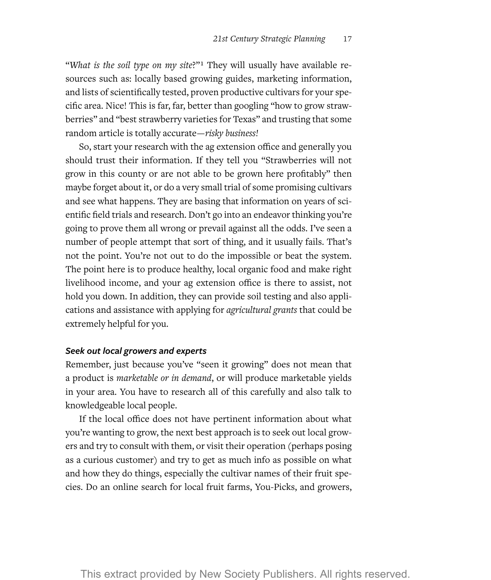"*What is the soil type on my site*?"1 They will usually have available resources such as: locally based growing guides, marketing information, and lists of scientifically tested, proven productive cultivars for your specific area. Nice! This is far, far, better than googling "how to grow strawberries" and "best strawberry varieties for Texas" and trusting that some random article is totally accurate*— risky business!*

So, start your research with the ag extension office and generally you should trust their information. If they tell you "Strawberries will not grow in this county or are not able to be grown here profitably" then maybe forget about it, or do a very small trial of some promising cultivars and see what happens. They are basing that information on years of scientific field trials and research. Don't go into an endeavor thinking you're going to prove them all wrong or prevail against all the odds. I've seen a number of people attempt that sort of thing, and it usually fails. That's not the point. You're not out to do the impossible or beat the system. The point here is to produce healthy, local organic food and make right livelihood income, and your ag extension office is there to assist, not hold you down. In addition, they can provide soil testing and also applications and assistance with applying for *agricultural grants* that could be extremely helpful for you.

#### *Seek out local growers and experts*

Remember, just because you've "seen it growing" does not mean that a product is *marketable or in demand*, or will produce marketable yields in your area. You have to research all of this carefully and also talk to knowledgeable local people.

If the local office does not have pertinent information about what you're wanting to grow, the next best approach is to seek out local growers and try to consult with them, or visit their operation (perhaps posing as a curious customer) and try to get as much info as possible on what and how they do things, especially the cultivar names of their fruit species. Do an online search for local fruit farms, You-Picks, and growers,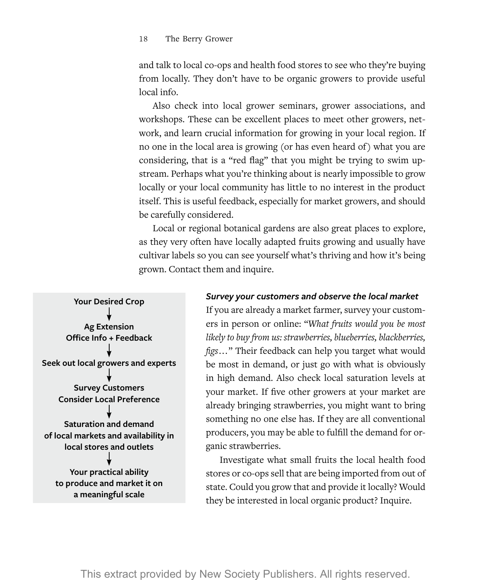and talk to local co-ops and health food stores to see who they're buying from locally. They don't have to be organic growers to provide useful local info.

Also check into local grower seminars, grower associations, and workshops. These can be excellent places to meet other growers, network, and learn crucial information for growing in your local region. If no one in the local area is growing (or has even heard of) what you are considering, that is a "red flag" that you might be trying to swim upstream. Perhaps what you're thinking about is nearly impossible to grow locally or your local community has little to no interest in the product itself. This is useful feedback, especially for market growers, and should be carefully considered.

Local or regional botanical gardens are also great places to explore, as they very often have locally adapted fruits growing and usually have cultivar labels so you can see yourself what's thriving and how it's being grown. Contact them and inquire.



## *Survey your customers and observe the local market*

If you are already a market farmer, survey your customers in person or online: "*What fruits would you be most likely to buy from us: strawberries, blueberries, blackberries, figs...*" Their feedback can help you target what would be most in demand, or just go with what is obviously in high demand. Also check local saturation levels at your market. If five other growers at your market are already bringing strawberries, you might want to bring something no one else has. If they are all conventional producers, you may be able to fulfill the demand for organic strawberries.

Investigate what small fruits the local health food stores or co-ops sell that are being imported from out of state. Could you grow that and provide it locally? Would they be interested in local organic product? Inquire.

This extract provided by New Society Publishers. All rights reserved.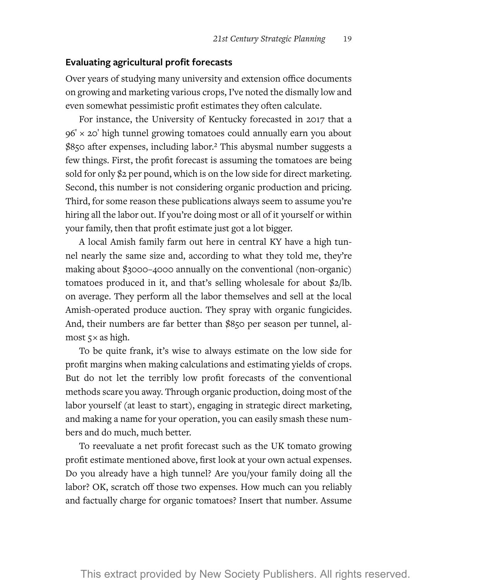### **Evaluating agricultural profit forecasts**

Over years of studying many university and extension office documents on growing and marketing various crops, I've noted the dismally low and even somewhat pessimistic profit estimates they often calculate.

For instance, the University of Kentucky forecasted in 2017 that a 96' × 20' high tunnel growing tomatoes could annually earn you about \$850 after expenses, including labor.2 This abysmal number suggests a few things. First, the profit forecast is assuming the tomatoes are being sold for only \$2 per pound, which is on the low side for direct marketing. Second, this number is not considering organic production and pricing. Third, for some reason these publications always seem to assume you're hiring all the labor out. If you're doing most or all of it yourself or within your family, then that profit estimate just got a lot bigger.

A local Amish family farm out here in central KY have a high tunnel nearly the same size and, according to what they told me, they're making about \$3000–4000 annually on the conventional (non-organic) tomatoes produced in it, and that's selling wholesale for about \$2/lb. on average. They perform all the labor themselves and sell at the local Amish-operated produce auction. They spray with organic fungicides. And, their numbers are far better than \$850 per season per tunnel, almost  $5 \times$  as high.

To be quite frank, it's wise to always estimate on the low side for profit margins when making calculations and estimating yields of crops. But do not let the terribly low profit forecasts of the conventional methods scare you away. Through organic production, doing most of the labor yourself (at least to start), engaging in strategic direct marketing, and making a name for your operation, you can easily smash these numbers and do much, much better.

To reevaluate a net profit forecast such as the UK tomato growing profit estimate mentioned above, first look at your own actual expenses. Do you already have a high tunnel? Are you/your family doing all the labor? OK, scratch off those two expenses. How much can you reliably and factually charge for organic tomatoes? Insert that number. Assume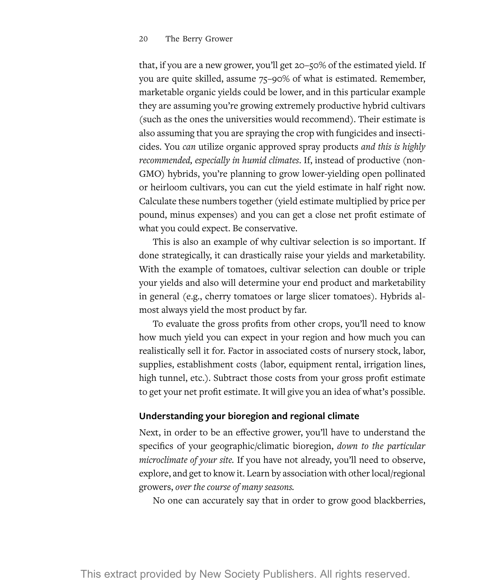that, if you are a new grower, you'll get 20–50% of the estimated yield. If you are quite skilled, assume 75–90% of what is estimated. Remember, marketable organic yields could be lower, and in this particular example they are assuming you're growing extremely productive hybrid cultivars (such as the ones the universities would recommend). Their estimate is also assuming that you are spraying the crop with fungicides and insecticides. You *can* utilize organic approved spray products *and this is highly recommended, especially in humid climates*. If, instead of productive (non-GMO) hybrids, you're planning to grow lower-yielding open pollinated or heirloom cultivars, you can cut the yield estimate in half right now. Calculate these numbers together (yield estimate multiplied by price per pound, minus expenses) and you can get a close net profit estimate of what you could expect. Be conservative.

This is also an example of why cultivar selection is so important. If done strategically, it can drastically raise your yields and marketability. With the example of tomatoes, cultivar selection can double or triple your yields and also will determine your end product and marketability in general (e.g., cherry tomatoes or large slicer tomatoes). Hybrids almost always yield the most product by far.

To evaluate the gross profits from other crops, you'll need to know how much yield you can expect in your region and how much you can realistically sell it for. Factor in associated costs of nursery stock, labor, supplies, establishment costs (labor, equipment rental, irrigation lines, high tunnel, etc.). Subtract those costs from your gross profit estimate to get your net profit estimate. It will give you an idea of what's possible.

## **Understanding your bioregion and regional climate**

Next, in order to be an effective grower, you'll have to understand the specifics of your geographic/climatic bioregion, *down to the particular microclimate of your site.* If you have not already, you'll need to observe, explore, and get to know it. Learn by association with other local/regional growers, *over the course of many seasons.*

No one can accurately say that in order to grow good blackberries,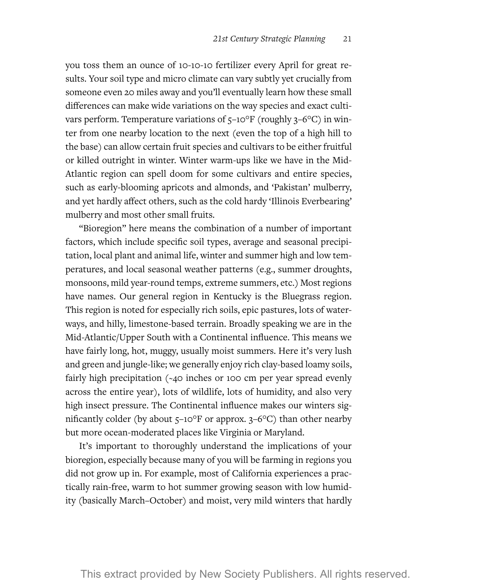you toss them an ounce of 10-10-10 fertilizer every April for great results. Your soil type and micro climate can vary subtly yet crucially from someone even 20 miles away and you'll eventually learn how these small differences can make wide variations on the way species and exact cultivars perform. Temperature variations of 5–10°F (roughly 3–6°C) in winter from one nearby location to the next (even the top of a high hill to the base) can allow certain fruit species and cultivars to be either fruitful or killed outright in winter. Winter warm-ups like we have in the Mid-Atlantic region can spell doom for some cultivars and entire species, such as early-blooming apricots and almonds, and 'Pakistan' mulberry, and yet hardly affect others, such as the cold hardy 'Illinois Everbearing' mulberry and most other small fruits.

"Bioregion" here means the combination of a number of important factors, which include specific soil types, average and seasonal precipitation, local plant and animal life, winter and summer high and low temperatures, and local seasonal weather patterns (e.g., summer droughts, monsoons, mild year-round temps, extreme summers, etc.) Most regions have names. Our general region in Kentucky is the Bluegrass region. This region is noted for especially rich soils, epic pastures, lots of waterways, and hilly, limestone-based terrain. Broadly speaking we are in the Mid-Atlantic/Upper South with a Continental influence. This means we have fairly long, hot, muggy, usually moist summers. Here it's very lush and green and jungle-like; we generally enjoy rich clay-based loamy soils, fairly high precipitation (~40 inches or 100 cm per year spread evenly across the entire year), lots of wildlife, lots of humidity, and also very high insect pressure. The Continental influence makes our winters significantly colder (by about  $5$ –10°F or approx.  $3$ –6°C) than other nearby but more ocean-moderated places like Virginia or Maryland.

It's important to thoroughly understand the implications of your bioregion, especially because many of you will be farming in regions you did not grow up in. For example, most of California experiences a practically rain-free, warm to hot summer growing season with low humidity (basically March–October) and moist, very mild winters that hardly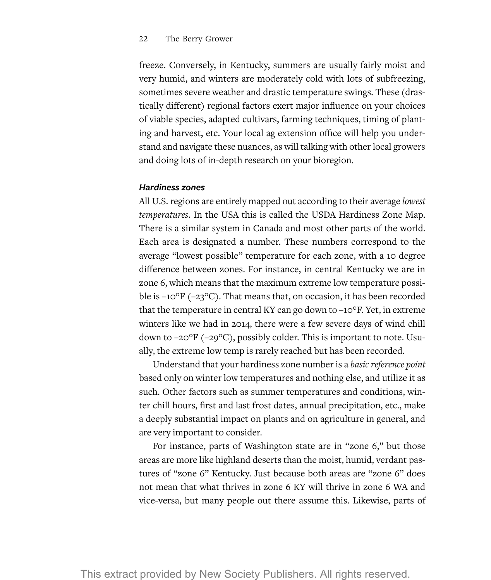#### 22 The Berry Grower

freeze. Conversely, in Kentucky, summers are usually fairly moist and very humid, and winters are moderately cold with lots of subfreezing, sometimes severe weather and drastic temperature swings. These (drastically different) regional factors exert major influence on your choices of viable species, adapted cultivars, farming techniques, timing of planting and harvest, etc. Your local ag extension office will help you understand and navigate these nuances, as will talking with other local growers and doing lots of in-depth research on your bioregion.

#### *Hardiness zones*

All U.S. regions are entirely mapped out according to their average *lowest temperatures*. In the USA this is called the USDA Hardiness Zone Map. There is a similar system in Canada and most other parts of the world. Each area is designated a number. These numbers correspond to the average "lowest possible" temperature for each zone, with a 10 degree difference between zones. For instance, in central Kentucky we are in zone 6, which means that the maximum extreme low temperature possible is −10°F (−23°C). That means that, on occasion, it has been recorded that the temperature in central KY can go down to −10°F. Yet, in extreme winters like we had in 2014, there were a few severe days of wind chill down to −20°F (−29°C), possibly colder. This is important to note. Usually, the extreme low temp is rarely reached but has been recorded.

Understand that your hardiness zone number is a *basic reference point* based only on winter low temperatures and nothing else, and utilize it as such. Other factors such as summer temperatures and conditions, winter chill hours, first and last frost dates, annual precipitation, etc., make a deeply substantial impact on plants and on agriculture in general, and are very important to consider.

For instance, parts of Washington state are in "zone 6," but those areas are more like highland deserts than the moist, humid, verdant pastures of "zone 6" Kentucky. Just because both areas are "zone 6" does not mean that what thrives in zone 6 KY will thrive in zone 6 WA and vice-versa, but many people out there assume this. Likewise, parts of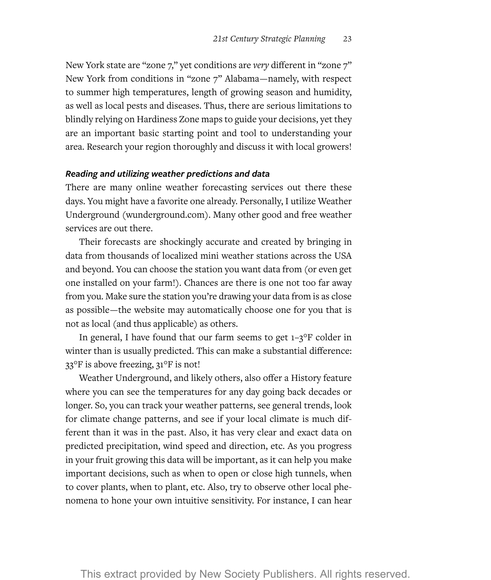New York state are "zone 7," yet conditions are *very* different in "zone 7" New York from conditions in "zone 7" Alabama— namely, with respect to summer high temperatures, length of growing season and humidity, as well as local pests and diseases. Thus, there are serious limitations to blindly relying on Hardiness Zone maps to guide your decisions, yet they are an important basic starting point and tool to understanding your area. Research your region thoroughly and discuss it with local growers!

#### *Reading and utilizing weather predictions and data*

There are many online weather forecasting services out there these days. You might have a favorite one already. Personally, I utilize Weather Underground (wunderground.com). Many other good and free weather services are out there.

Their forecasts are shockingly accurate and created by bringing in data from thousands of localized mini weather stations across the USA and beyond. You can choose the station you want data from (or even get one installed on your farm!). Chances are there is one not too far away from you. Make sure the station you're drawing your data from is as close as possible— the website may automatically choose one for you that is not as local (and thus applicable) as others.

In general, I have found that our farm seems to get  $1-3$ °F colder in winter than is usually predicted. This can make a substantial difference: 33°F is above freezing, 31°F is not!

Weather Underground, and likely others, also offer a History feature where you can see the temperatures for any day going back decades or longer. So, you can track your weather patterns, see general trends, look for climate change patterns, and see if your local climate is much different than it was in the past. Also, it has very clear and exact data on predicted precipitation, wind speed and direction, etc. As you progress in your fruit growing this data will be important, as it can help you make important decisions, such as when to open or close high tunnels, when to cover plants, when to plant, etc. Also, try to observe other local phenomena to hone your own intuitive sensitivity. For instance, I can hear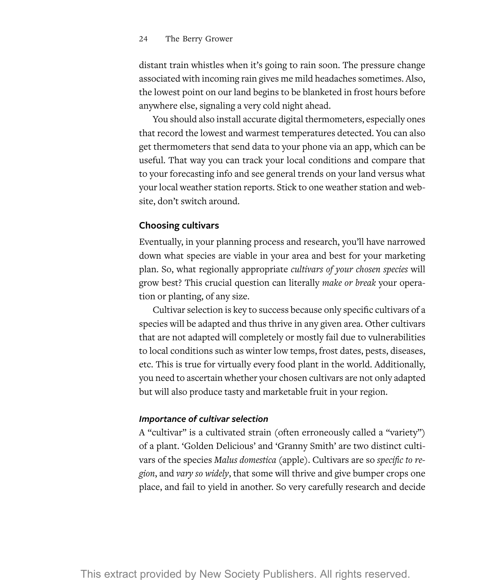distant train whistles when it's going to rain soon. The pressure change associated with incoming rain gives me mild headaches sometimes. Also, the lowest point on our land begins to be blanketed in frost hours before anywhere else, signaling a very cold night ahead.

You should also install accurate digital thermometers, especially ones that record the lowest and warmest temperatures detected. You can also get thermometers that send data to your phone via an app, which can be useful. That way you can track your local conditions and compare that to your forecasting info and see general trends on your land versus what your local weather station reports. Stick to one weather station and website, don't switch around.

# **Choosing cultivars**

Eventually, in your planning process and research, you'll have narrowed down what species are viable in your area and best for your marketing plan. So, what regionally appropriate *cultivars of your chosen species* will grow best? This crucial question can literally *make or break* your operation or planting, of any size.

Cultivar selection is key to success because only specific cultivars of a species will be adapted and thus thrive in any given area. Other cultivars that are not adapted will completely or mostly fail due to vulnerabilities to local conditions such as winter low temps, frost dates, pests, diseases, etc. This is true for virtually every food plant in the world. Additionally, you need to ascertain whether your chosen cultivars are not only adapted but will also produce tasty and marketable fruit in your region.

#### *Importance of cultivar selection*

A "cultivar" is a cultivated strain (often erroneously called a "variety") of a plant. 'Golden Delicious' and 'Granny Smith' are two distinct cultivars of the species *Malus domestica* (apple). Cultivars are so *specific to region*, and *vary so widely*, that some will thrive and give bumper crops one place, and fail to yield in another. So very carefully research and decide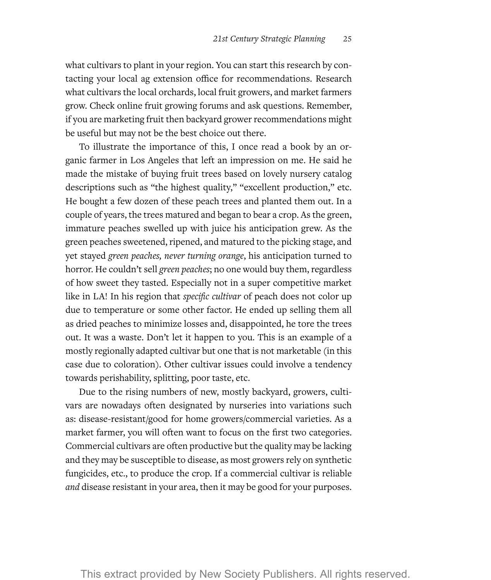what cultivars to plant in your region. You can start this research by contacting your local ag extension office for recommendations. Research what cultivars the local orchards, local fruit growers, and market farmers grow. Check online fruit growing forums and ask questions. Remember, if you are marketing fruit then backyard grower recommendations might be useful but may not be the best choice out there.

To illustrate the importance of this, I once read a book by an organic farmer in Los Angeles that left an impression on me. He said he made the mistake of buying fruit trees based on lovely nursery catalog descriptions such as "the highest quality," "excellent production," etc. He bought a few dozen of these peach trees and planted them out. In a couple of years, the trees matured and began to bear a crop. As the green, immature peaches swelled up with juice his anticipation grew. As the green peaches sweetened, ripened, and matured to the picking stage, and yet stayed *green peaches, never turning orange*, his anticipation turned to horror. He couldn't sell *green peaches*; no one would buy them, regardless of how sweet they tasted. Especially not in a super competitive market like in LA! In his region that *specific cultivar* of peach does not color up due to temperature or some other factor. He ended up selling them all as dried peaches to minimize losses and, disappointed, he tore the trees out. It was a waste. Don't let it happen to you. This is an example of a mostly regionally adapted cultivar but one that is not marketable (in this case due to coloration). Other cultivar issues could involve a tendency towards perishability, splitting, poor taste, etc.

Due to the rising numbers of new, mostly backyard, growers, cultivars are nowadays often designated by nurseries into variations such as: disease-resistant/good for home growers/commercial varieties. As a market farmer, you will often want to focus on the first two categories. Commercial cultivars are often productive but the quality may be lacking and they may be susceptible to disease, as most growers rely on synthetic fungicides, etc., to produce the crop. If a commercial cultivar is reliable *and* disease resistant in your area, then it may be good for your purposes.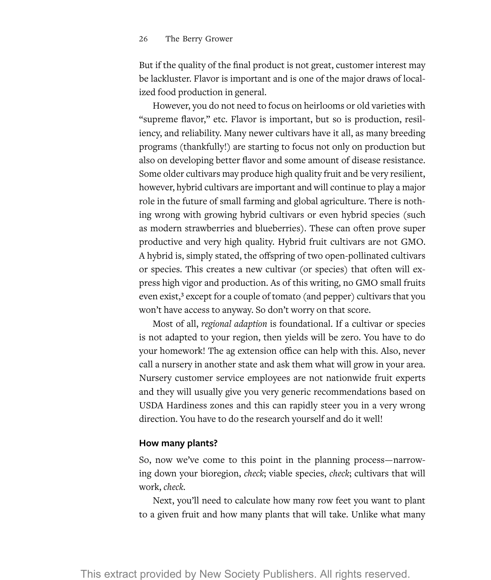But if the quality of the final product is not great, customer interest may be lackluster. Flavor is important and is one of the major draws of localized food production in general.

However, you do not need to focus on heirlooms or old varieties with "supreme flavor," etc. Flavor is important, but so is production, resiliency, and reliability. Many newer cultivars have it all, as many breeding programs (thankfully!) are starting to focus not only on production but also on developing better flavor and some amount of disease resistance. Some older cultivars may produce high quality fruit and be very resilient, however, hybrid cultivars are important and will continue to play a major role in the future of small farming and global agriculture. There is nothing wrong with growing hybrid cultivars or even hybrid species (such as modern strawberries and blueberries). These can often prove super productive and very high quality. Hybrid fruit cultivars are not GMO. A hybrid is, simply stated, the offspring of two open-pollinated cultivars or species. This creates a new cultivar (or species) that often will express high vigor and production. As of this writing, no GMO small fruits even exist,<sup>3</sup> except for a couple of tomato (and pepper) cultivars that you won't have access to anyway. So don't worry on that score.

Most of all, *regional adaption* is foundational. If a cultivar or species is not adapted to your region, then yields will be zero. You have to do your homework! The ag extension office can help with this. Also, never call a nursery in another state and ask them what will grow in your area. Nursery customer service employees are not nationwide fruit experts and they will usually give you very generic recommendations based on USDA Hardiness zones and this can rapidly steer you in a very wrong direction. You have to do the research yourself and do it well!

#### **How many plants?**

So, now we've come to this point in the planning process— narrowing down your bioregion, *check*; viable species, *check*; cultivars that will work, *check.*

Next, you'll need to calculate how many row feet you want to plant to a given fruit and how many plants that will take. Unlike what many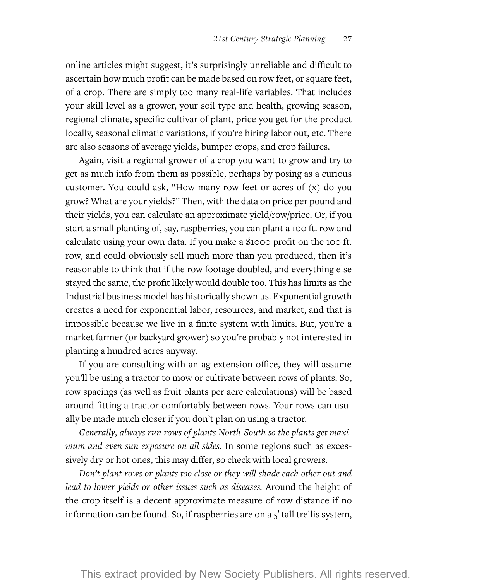online articles might suggest, it's surprisingly unreliable and difficult to ascertain how much profit can be made based on row feet, or square feet, of a crop. There are simply too many real-life variables. That includes your skill level as a grower, your soil type and health, growing season, regional climate, specific cultivar of plant, price you get for the product locally, seasonal climatic variations, if you're hiring labor out, etc. There are also seasons of average yields, bumper crops, and crop failures.

Again, visit a regional grower of a crop you want to grow and try to get as much info from them as possible, perhaps by posing as a curious customer. You could ask, "How many row feet or acres of (x) do you grow? What are your yields?" Then, with the data on price per pound and their yields, you can calculate an approximate yield/row/price. Or, if you start a small planting of, say, raspberries, you can plant a 100 ft. row and calculate using your own data. If you make a \$1000 profit on the 100 ft. row, and could obviously sell much more than you produced, then it's reasonable to think that if the row footage doubled, and everything else stayed the same, the profit likely would double too. This has limits as the Industrial business model has historically shown us. Exponential growth creates a need for exponential labor, resources, and market, and that is impossible because we live in a finite system with limits. But, you're a market farmer (or backyard grower) so you're probably not interested in planting a hundred acres anyway.

If you are consulting with an ag extension office, they will assume you'll be using a tractor to mow or cultivate between rows of plants. So, row spacings (as well as fruit plants per acre calculations) will be based around fitting a tractor comfortably between rows. Your rows can usually be made much closer if you don't plan on using a tractor.

*Generally, always run rows of plants North-South so the plants get maximum and even sun exposure on all sides.* In some regions such as excessively dry or hot ones, this may differ, so check with local growers.

*Don't plant rows or plants too close or they will shade each other out and lead to lower yields or other issues such as diseases.* Around the height of the crop itself is a decent approximate measure of row distance if no information can be found. So, if raspberries are on a  $\zeta$ ' tall trellis system,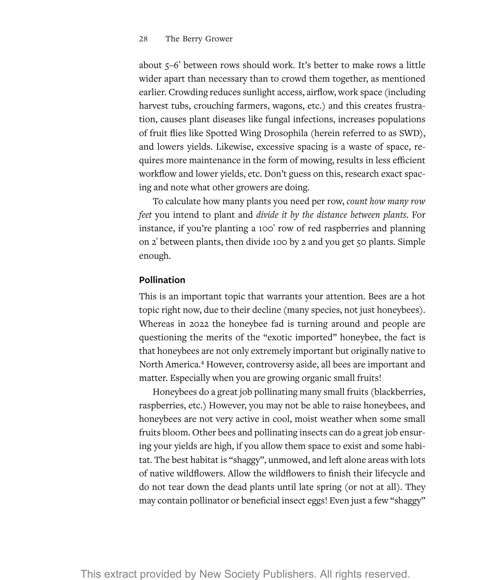about 5–6' between rows should work. It's better to make rows a little wider apart than necessary than to crowd them together, as mentioned earlier. Crowding reduces sunlight access, airflow, work space (including harvest tubs, crouching farmers, wagons, etc.) and this creates frustration, causes plant diseases like fungal infections, increases populations of fruit flies like Spotted Wing Drosophila (herein referred to as SWD), and lowers yields. Likewise, excessive spacing is a waste of space, requires more maintenance in the form of mowing, results in less efficient workflow and lower yields, etc. Don't guess on this, research exact spacing and note what other growers are doing.

To calculate how many plants you need per row, *count how many row feet* you intend to plant and *divide it by the distance between plants*. For instance, if you're planting a 100' row of red raspberries and planning on 2' between plants, then divide 100 by 2 and you get 50 plants. Simple enough.

# **Pollination**

This is an important topic that warrants your attention. Bees are a hot topic right now, due to their decline (many species, not just honeybees). Whereas in 2022 the honeybee fad is turning around and people are questioning the merits of the "exotic imported" honeybee, the fact is that honeybees are not only extremely important but originally native to North America.4 However, controversy aside, all bees are important and matter. Especially when you are growing organic small fruits!

Honeybees do a great job pollinating many small fruits (blackberries, raspberries, etc.) However, you may not be able to raise honeybees, and honeybees are not very active in cool, moist weather when some small fruits bloom. Other bees and pollinating insects can do a great job ensuring your yields are high, if you allow them space to exist and some habitat. The best habitat is "shaggy", unmowed, and left alone areas with lots of native wildflowers. Allow the wildflowers to finish their lifecycle and do not tear down the dead plants until late spring (or not at all). They may contain pollinator or beneficial insect eggs! Even just a few "shaggy"